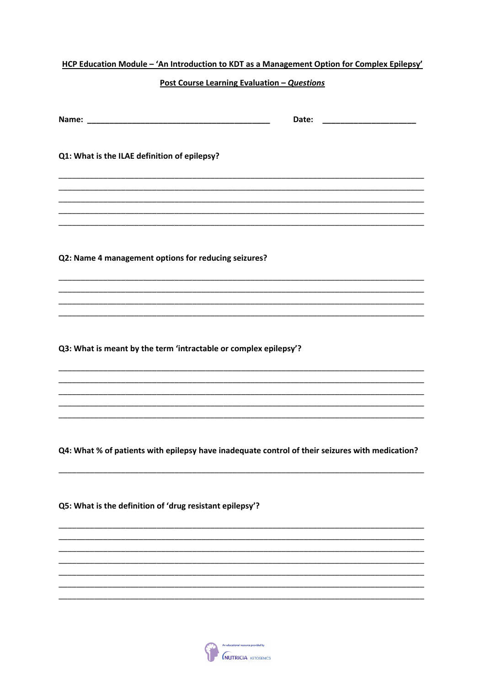| HCP Education Module - 'An Introduction to KDT as a Management Option for Complex Epilepsy'     |                                             |       |  |
|-------------------------------------------------------------------------------------------------|---------------------------------------------|-------|--|
|                                                                                                 | Post Course Learning Evaluation - Questions |       |  |
|                                                                                                 |                                             | Date: |  |
| Q1: What is the ILAE definition of epilepsy?                                                    |                                             |       |  |
|                                                                                                 |                                             |       |  |
| Q2: Name 4 management options for reducing seizures?                                            |                                             |       |  |
|                                                                                                 |                                             |       |  |
| Q3: What is meant by the term 'intractable or complex epilepsy'?                                |                                             |       |  |
|                                                                                                 |                                             |       |  |
|                                                                                                 |                                             |       |  |
| Q4: What % of patients with epilepsy have inadequate control of their seizures with medication? |                                             |       |  |
| Q5: What is the definition of 'drug resistant epilepsy'?                                        |                                             |       |  |
|                                                                                                 |                                             |       |  |
|                                                                                                 |                                             |       |  |
|                                                                                                 |                                             |       |  |

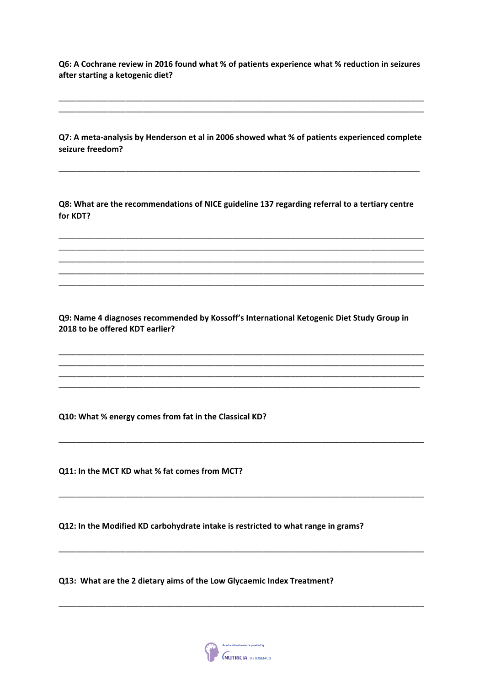Q6: A Cochrane review in 2016 found what % of patients experience what % reduction in seizures after starting a ketogenic diet?

Q7: A meta-analysis by Henderson et al in 2006 showed what % of patients experienced complete seizure freedom?

Q8: What are the recommendations of NICE guideline 137 regarding referral to a tertiary centre for KDT?

Q9: Name 4 diagnoses recommended by Kossoff's International Ketogenic Diet Study Group in 2018 to be offered KDT earlier?

Q10: What % energy comes from fat in the Classical KD?

Q11: In the MCT KD what % fat comes from MCT?

Q12: In the Modified KD carbohydrate intake is restricted to what range in grams?

Q13: What are the 2 dietary aims of the Low Glycaemic Index Treatment?

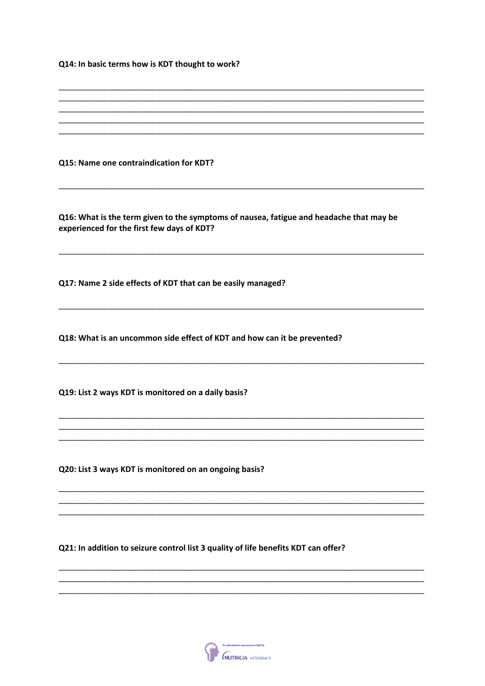Q14: In basic terms how is KDT thought to work?

Q15: Name one contraindication for KDT?

Q16: What is the term given to the symptoms of nausea, fatigue and headache that may be experienced for the first few days of KDT?

Q17: Name 2 side effects of KDT that can be easily managed?

Q18: What is an uncommon side effect of KDT and how can it be prevented?

Q19: List 2 ways KDT is monitored on a daily basis?

Q20: List 3 ways KDT is monitored on an ongoing basis?

Q21: In addition to seizure control list 3 quality of life benefits KDT can offer?

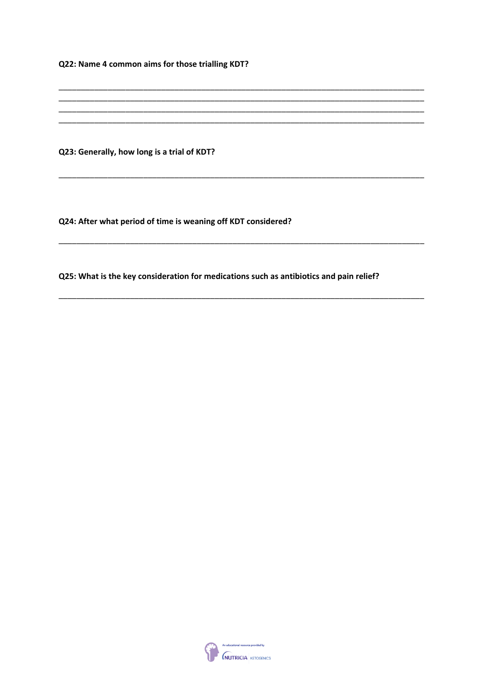Q22: Name 4 common aims for those trialling KDT?

Q23: Generally, how long is a trial of KDT?

Q24: After what period of time is weaning off KDT considered?

Q25: What is the key consideration for medications such as antibiotics and pain relief?

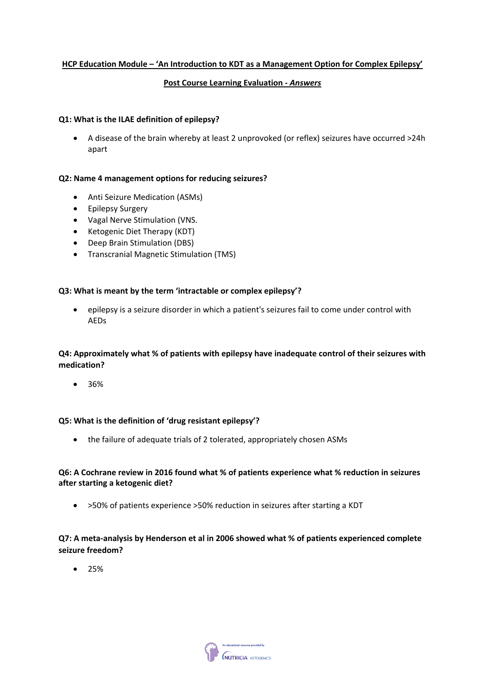## **HCP Education Module – 'An Introduction to KDT as a Management Option for Complex Epilepsy'**

## **Post Course Learning Evaluation - Answers**

#### **Q1: What is the ILAE definition of epilepsy?**

• A disease of the brain whereby at least 2 unprovoked (or reflex) seizures have occurred >24h apart

#### **Q2: Name 4 management options for reducing seizures?**

- Anti Seizure Medication (ASMs)
- Epilepsy Surgery
- Vagal Nerve Stimulation (VNS.
- Ketogenic Diet Therapy (KDT)
- Deep Brain Stimulation (DBS)
- Transcranial Magnetic Stimulation (TMS)

## **Q3: What is meant by the term 'intractable or complex epilepsy'?**

• epilepsy is a seizure disorder in which a patient's seizures fail to come under control with AEDs

# **Q4: Approximately what % of patients with epilepsy have inadequate control of their seizures with medication?**

• 36%

#### **Q5: What is the definition of 'drug resistant epilepsy'?**

• the failure of adequate trials of 2 tolerated, appropriately chosen ASMs

## **Q6: A Cochrane review in 2016 found what % of patients experience what % reduction in seizures after starting a ketogenic diet?**

• >50% of patients experience >50% reduction in seizures after starting a KDT

**Q7: A meta-analysis by Henderson et al in 2006 showed what % of patients experienced complete seizure freedom?**

• 25%

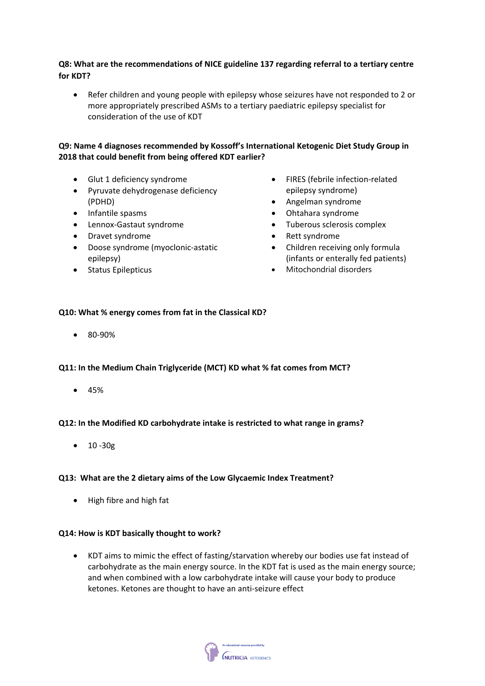# **Q8: What are the recommendations of NICE guideline 137 regarding referral to a tertiary centre for KDT?**

• Refer children and young people with epilepsy whose seizures have not responded to 2 or more appropriately prescribed ASMs to a tertiary paediatric epilepsy specialist for consideration of the use of KDT

# **Q9: Name 4 diagnoses recommended by Kossoff's International Ketogenic Diet Study Group in 2018 that could benefit from being offered KDT earlier?**

- Glut 1 deficiency syndrome
- Pyruvate dehydrogenase deficiency (PDHD)
- Infantile spasms
- Lennox-Gastaut syndrome
- Dravet syndrome
- Doose syndrome (myoclonic-astatic epilepsy)
- Status Epilepticus
- FIRES (febrile infection-related epilepsy syndrome)
- Angelman syndrome
- Ohtahara syndrome
- Tuberous sclerosis complex
- Rett syndrome
- Children receiving only formula (infants or enterally fed patients)
- Mitochondrial disorders

# **Q10: What % energy comes from fat in the Classical KD?**

• 80-90%

#### **Q11: In the Medium Chain Triglyceride (MCT) KD what % fat comes from MCT?**

• 45%

#### **Q12: In the Modified KD carbohydrate intake is restricted to what range in grams?**

• 10 -30g

#### **Q13: What are the 2 dietary aims of the Low Glycaemic Index Treatment?**

• High fibre and high fat

#### **Q14: How is KDT basically thought to work?**

• KDT aims to mimic the effect of fasting/starvation whereby our bodies use fat instead of carbohydrate as the main energy source. In the KDT fat is used as the main energy source; and when combined with a low carbohydrate intake will cause your body to produce ketones. Ketones are thought to have an anti-seizure effect

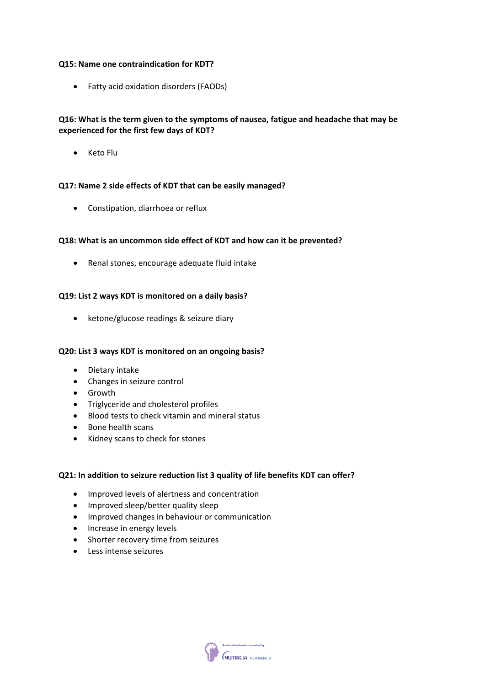#### **Q15: Name one contraindication for KDT?**

• Fatty acid oxidation disorders (FAODs)

# **Q16: What is the term given to the symptoms of nausea, fatigue and headache that may be experienced for the first few days of KDT?**

• Keto Flu

## **Q17: Name 2 side effects of KDT that can be easily managed?**

• Constipation, diarrhoea or reflux

## **Q18: What is an uncommon side effect of KDT and how can it be prevented?**

• Renal stones, encourage adequate fluid intake

## **Q19: List 2 ways KDT is monitored on a daily basis?**

• ketone/glucose readings & seizure diary

#### **Q20: List 3 ways KDT is monitored on an ongoing basis?**

- Dietary intake
- Changes in seizure control
- Growth
- Triglyceride and cholesterol profiles
- Blood tests to check vitamin and mineral status
- Bone health scans
- Kidney scans to check for stones

#### **Q21: In addition to seizure reduction list 3 quality of life benefits KDT can offer?**

- Improved levels of alertness and concentration
- Improved sleep/better quality sleep
- Improved changes in behaviour or communication
- Increase in energy levels
- Shorter recovery time from seizures
- Less intense seizures